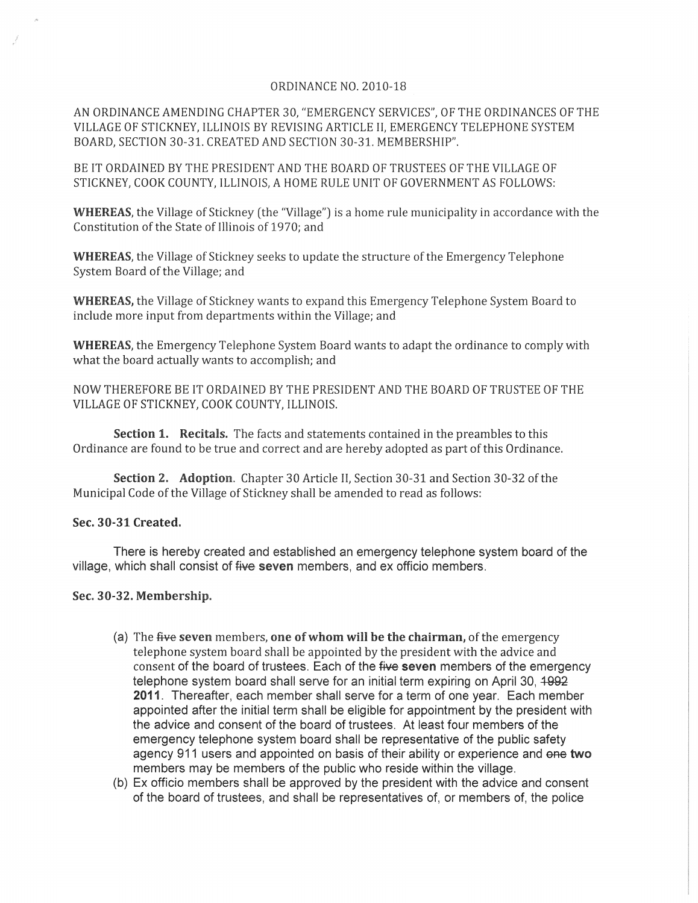## ORDINANCE NO. 2010-18

AN ORDINANCE AMENDING CHAPTER 30, "EMERGENCY SERVICES", OF THE ORDINANCES OF THE VILLAGE OF STICKNEY, ILLINOIS BY REVISING ARTICLE II, EMERGENCY TELEPHONE SYSTEM BOARD, SECTION 30-31. CREATED AND SECTION 30-31. MEMBERSHIP".

BE IT ORDAINED BY THE PRESIDENT AND THE BOARD OF TRUSTEES OF THE VILLAGE OF STICKNEY, COOK COUNTY, ILLINOIS, A HOME RULE UNIT OF GOVERNMENT AS FOLLOWS:

WHEREAS, the Village of Stickney (the "Village") is a home rule municipality in accordance with the Constitution of the State of Illinois of 1970; and

WHEREAS, the Village of Stickney seeks to update the structure of the Emergency Telephone System Board of the Village; and

WHEREAS, the Village of Stickney wants to expand this Emergency Telephone System Board to include more input from departments within the Village; and

WHEREAS, the Emergency Telephone System Board wants to adapt the ordinance to comply with what the board actually wants to accomplish; and

NOW THEREFORE BE IT ORDAINED BY THE PRESIDENT AND THE BOARD OF TRUSTEE OF THE VILLAGE OF STICKNEY, COOK COUNTY, ILLINOIS.

Section 1. Recitals. The facts and statements contained in the preambles to this Ordinance are found to be true and correct and are hereby adopted as part of this Ordinance.

Section 2. Adoption. Chapter 30 Article II, Section 30-31 and Section 30-32 of the Municipal Code of the Village of Stickney shall be amended to read as follows:

## Sec. 30-31 Created.

There is hereby created and established an emergency telephone system board of the village, which shall consist of five seven members, and ex officio members.

## Sec. 30-32. Membership.

- (a) The  $f{H}$ ve seven members, one of whom will be the chairman, of the emergency telephone system board shall be appointed by the president with the advice and consent of the board of trustees. Each of the five seven members of the emergency telephone system board shall serve for an initial term expiring on April 30,  $4992$ 2011. Thereafter, each member shall serve for a term of one year. Each member appointed after the initial term shall be eligible for appointment by the president with the advice and consent of the board of trustees. At least four members of the emergency telephone system board shall be representative of the public safety agency 911 users and appointed on basis of their ability or experience and one two members may be members of the public who reside within the village.
- (b) Ex officio members shall be approved by the president with the advice and consent of the board of trustees, and shall be representatives of, or members of, the police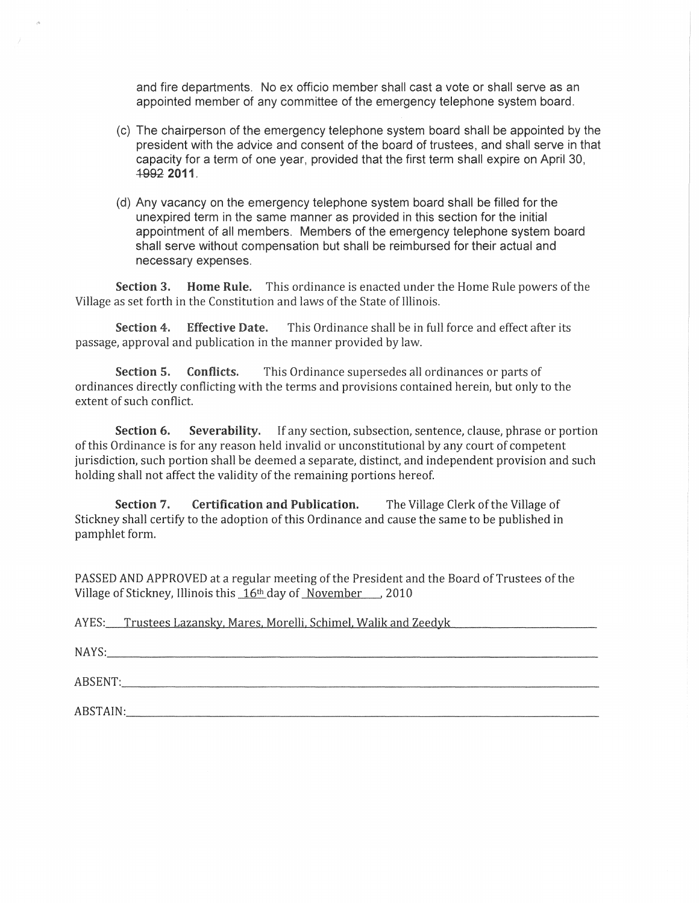and fire departments. No ex officio member shall cast a vote or shall serve as an appointed member of any committee of the emergency telephone system board.

- (c) The chairperson of the emergency telephone system board shall be appointed by the president with the advice and consent of the board of trustees, and shall serve in that capacity for a term of one year, provided that the first term shall expire on April 30, ~2011.
- (d) Any vacancy on the emergency telephone system board shall be filled for the unexpired term in the same manner as provided in this section for the initial appointment of all members. Members of the emergency telephone system board shall serve without compensation but shall be reimbursed for their actual and necessary expenses.

Section 3. Home Rule. This ordinance is enacted under the Home Rule powers of the Village as set forth in the Constitution and laws of the State of Illinois,

Section 4. Effective Date. This Ordinance shall be in full force and effect after its passage, approval and publication in the manner provided by law.

Section 5. Conflicts, This Ordinance supersedes all ordinances or parts of ordinances directly conflicting with the terms and provisions contained herein, but only to the extent of such conflict

Section 6. Severability. If any section, subsection, sentence, clause, phrase or portion of this Ordinance is for any reason held invalid or unconstitutional by any court of competent jurisdiction, such portion shall be deemed a separate, distinct, and independent provision and such holding shall not affect the validity of the remaining portions hereof.

Section 7. Certification and Publication. The Village Clerk of the Village of Stickney shall certify to the adoption of this Ordinance and cause the same to be published in pamphlet form.

PASSED AND APPROVED at a regular meeting of the President and the Board of Trustees of the Village of Stickney, Illinois this  $16<sup>th</sup>$  day of November... 2010

AYES: Trustees Lazansky, Mares. Morelli, Schimel. Walik and Zeedyk

NAYS: \_\_\_ \_

ABSENT:

ABSTAIN: \_\_\_\_ .